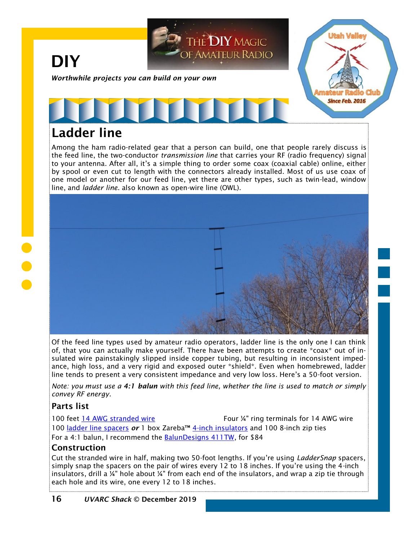

# Ladder line

Among the ham radio-related gear that a person can build, one that people rarely discuss is the feed line, the two-conductor *transmission line* that carries your RF (radio frequency) signal to your antenna. After all, it's a simple thing to order some coax (coaxial cable) online, either by spool or even cut to length with the connectors already installed. Most of us use coax of one model or another for our feed line, yet there are other types, such as twin-lead, window line, and *ladder line*. also known as open-wire line (OWL).



Of the feed line types used by amateur radio operators, ladder line is the only one I can think of, that you can actually make yourself. There have been attempts to create \*coax\* out of insulated wire painstakingly slipped inside copper tubing, but resulting in inconsistent impedance, high loss, and a very rigid and exposed outer \*shield\*. Even when homebrewed, ladder line tends to present a very consistent impedance and very low loss. Here's a 50-foot version.

*Note: you must use a 4:1 balun with this feed line, whether the line is used to match or simply convey RF energy.*

### Parts list

100 feet [14 AWG stranded wire](https://www.homedepot.com/p/Cerrowire-100-ft-14-3-Black-White-and-Green-Cabled-Stranded-THHN-Cable-112-341253C/205493355) Four ¼" ring terminals for 14 AWG wire 100 [ladder line spacers](http://www.dtsohio.com/73cnc/laddersnap.html) *or* 1 box Zareba™ [4-inch insulators](http://www.zarebasystems.com/zareba-4-inch-fin-tube-insulator-ht4fti200) and 100 8-inch zip ties For a 4:1 balun, I recommend the **BalunDesigns 411TW**, for \$84

### **Construction**

Cut the stranded wire in half, making two 50-foot lengths. If you're using *LadderSnap* spacers, simply snap the spacers on the pair of wires every 12 to 18 inches. If you're using the 4-inch insulators, drill a ¼" hole about ¼" from each end of the insulators, and wrap a zip tie through each hole and its wire, one every 12 to 18 inches.